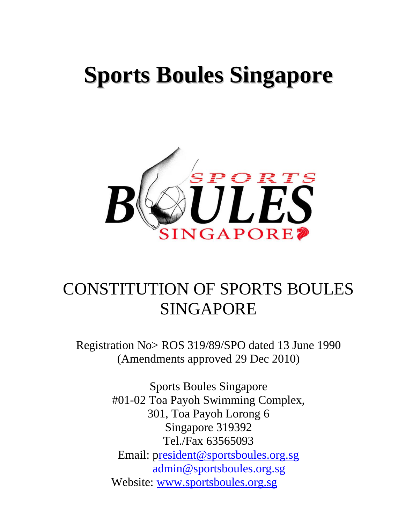# **Sports Boules Singapore**



## CONSTITUTION OF SPORTS BOULES SINGAPORE

Registration No> ROS 319/89/SPO dated 13 June 1990 (Amendments approved 29 Dec 2010)

> Sports Boules Singapore #01-02 Toa Payoh Swimming Complex, 301, Toa Payoh Lorong 6 Singapore 319392 Tel./Fax 63565093 Email: [president@sportsboules.org.sg](mailto:resident@sportsboules.org.sg) [admin@sportsboules.org.sg](mailto:admin@sportsboules.org.sg) Website: [www.sportsboules.org.sg](http://www.sportsboules.org.sg/)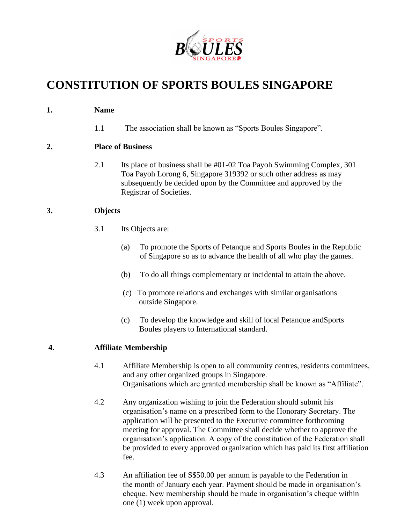

### **CONSTITUTION OF SPORTS BOULES SINGAPORE**

#### **1. Name**

1.1 The association shall be known as "Sports Boules Singapore".

#### **2. Place of Business**

2.1 Its place of business shall be #01-02 Toa Payoh Swimming Complex, 301 Toa Payoh Lorong 6, Singapore 319392 or such other address as may subsequently be decided upon by the Committee and approved by the Registrar of Societies.

#### **3. Objects**

- 3.1 Its Objects are:
	- (a) To promote the Sports of Petanque and Sports Boules in the Republic of Singapore so as to advance the health of all who play the games.
	- (b) To do all things complementary or incidental to attain the above.
	- (c) To promote relations and exchanges with similar organisations outside Singapore.
	- (c) To develop the knowledge and skill of local Petanque andSports Boules players to International standard.

#### **4. Affiliate Membership**

- 4.1 Affiliate Membership is open to all community centres, residents committees, and any other organized groups in Singapore. Organisations which are granted membership shall be known as "Affiliate".
- 4.2 Any organization wishing to join the Federation should submit his organisation's name on a prescribed form to the Honorary Secretary. The application will be presented to the Executive committee forthcoming meeting for approval. The Committee shall decide whether to approve the organisation's application. A copy of the constitution of the Federation shall be provided to every approved organization which has paid its first affiliation fee.
- 4.3 An affiliation fee of S\$50.00 per annum is payable to the Federation in the month of January each year. Payment should be made in organisation's cheque. New membership should be made in organisation's cheque within one (1) week upon approval.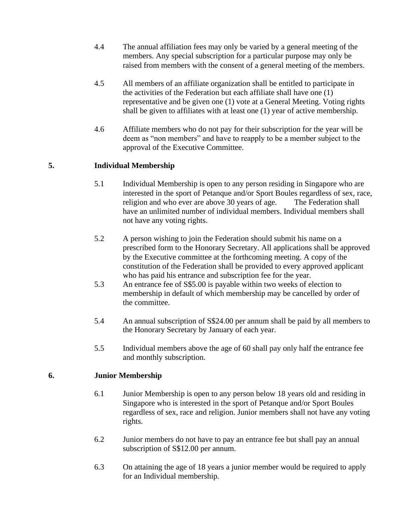- 4.4 The annual affiliation fees may only be varied by a general meeting of the members. Any special subscription for a particular purpose may only be raised from members with the consent of a general meeting of the members.
- 4.5 All members of an affiliate organization shall be entitled to participate in the activities of the Federation but each affiliate shall have one (1) representative and be given one (1) vote at a General Meeting. Voting rights shall be given to affiliates with at least one (1) year of active membership.
- 4.6 Affiliate members who do not pay for their subscription for the year will be deem as "non members" and have to reapply to be a member subject to the approval of the Executive Committee.

#### **5. Individual Membership**

- 5.1 Individual Membership is open to any person residing in Singapore who are interested in the sport of Petanque and/or Sport Boules regardless of sex, race, religion and who ever are above 30 years of age. The Federation shall have an unlimited number of individual members. Individual members shall not have any voting rights.
- 5.2 A person wishing to join the Federation should submit his name on a prescribed form to the Honorary Secretary. All applications shall be approved by the Executive committee at the forthcoming meeting. A copy of the constitution of the Federation shall be provided to every approved applicant who has paid his entrance and subscription fee for the year.
- 5.3 An entrance fee of S\$5.00 is payable within two weeks of election to membership in default of which membership may be cancelled by order of the committee.
- 5.4 An annual subscription of S\$24.00 per annum shall be paid by all members to the Honorary Secretary by January of each year.
- 5.5 Individual members above the age of 60 shall pay only half the entrance fee and monthly subscription.

#### **6. Junior Membership**

- 6.1 Junior Membership is open to any person below 18 years old and residing in Singapore who is interested in the sport of Petanque and/or Sport Boules regardless of sex, race and religion. Junior members shall not have any voting rights.
- 6.2 Junior members do not have to pay an entrance fee but shall pay an annual subscription of S\$12.00 per annum.
- 6.3 On attaining the age of 18 years a junior member would be required to apply for an Individual membership.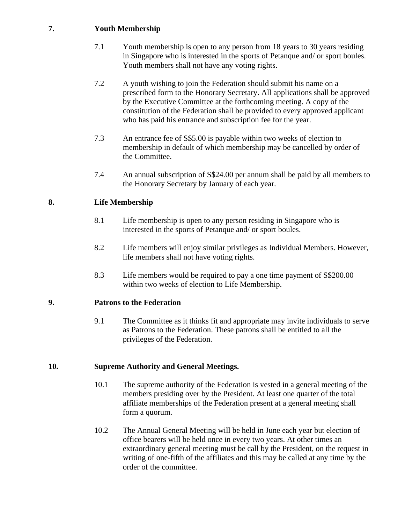#### **7. Youth Membership**

- 7.1 Youth membership is open to any person from 18 years to 30 years residing in Singapore who is interested in the sports of Petanque and/ or sport boules. Youth members shall not have any voting rights.
- 7.2 A youth wishing to join the Federation should submit his name on a prescribed form to the Honorary Secretary. All applications shall be approved by the Executive Committee at the forthcoming meeting. A copy of the constitution of the Federation shall be provided to every approved applicant who has paid his entrance and subscription fee for the year.
- 7.3 An entrance fee of S\$5.00 is payable within two weeks of election to membership in default of which membership may be cancelled by order of the Committee.
- 7.4 An annual subscription of S\$24.00 per annum shall be paid by all members to the Honorary Secretary by January of each year.

#### **8. Life Membership**

- 8.1 Life membership is open to any person residing in Singapore who is interested in the sports of Petanque and/ or sport boules.
- 8.2 Life members will enjoy similar privileges as Individual Members. However, life members shall not have voting rights.
- 8.3 Life members would be required to pay a one time payment of S\$200.00 within two weeks of election to Life Membership.

#### **9. Patrons to the Federation**

9.1 The Committee as it thinks fit and appropriate may invite individuals to serve as Patrons to the Federation. These patrons shall be entitled to all the privileges of the Federation.

#### **10. Supreme Authority and General Meetings.**

- 10.1 The supreme authority of the Federation is vested in a general meeting of the members presiding over by the President. At least one quarter of the total affiliate memberships of the Federation present at a general meeting shall form a quorum.
- 10.2 The Annual General Meeting will be held in June each year but election of office bearers will be held once in every two years. At other times an extraordinary general meeting must be call by the President, on the request in writing of one-fifth of the affiliates and this may be called at any time by the order of the committee.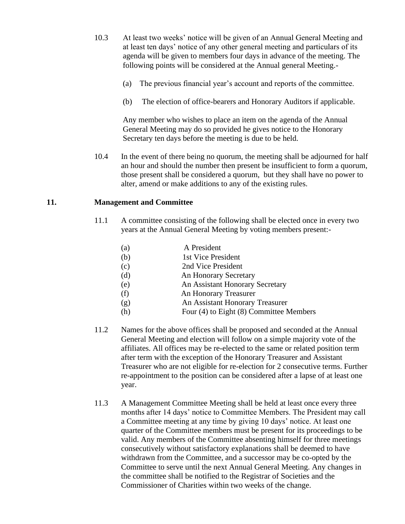- 10.3 At least two weeks' notice will be given of an Annual General Meeting and at least ten days' notice of any other general meeting and particulars of its agenda will be given to members four days in advance of the meeting. The following points will be considered at the Annual general Meeting.-
	- (a) The previous financial year's account and reports of the committee.
	- (b) The election of office-bearers and Honorary Auditors if applicable.

Any member who wishes to place an item on the agenda of the Annual General Meeting may do so provided he gives notice to the Honorary Secretary ten days before the meeting is due to be held.

10.4 In the event of there being no quorum, the meeting shall be adjourned for half an hour and should the number then present be insufficient to form a quorum, those present shall be considered a quorum, but they shall have no power to alter, amend or make additions to any of the existing rules.

#### **11. Management and Committee**

- 11.1 A committee consisting of the following shall be elected once in every two years at the Annual General Meeting by voting members present:-
	- (a) A President (b) 1st Vice President (c) 2nd Vice President (d) An Honorary Secretary (e) An Assistant Honorary Secretary (f) An Honorary Treasurer (g) An Assistant Honorary Treasurer (h) Four (4) to Eight (8) Committee Members
- 11.2 Names for the above offices shall be proposed and seconded at the Annual General Meeting and election will follow on a simple majority vote of the affiliates. All offices may be re-elected to the same or related position term after term with the exception of the Honorary Treasurer and Assistant Treasurer who are not eligible for re-election for 2 consecutive terms. Further re-appointment to the position can be considered after a lapse of at least one year.
- 11.3 A Management Committee Meeting shall be held at least once every three months after 14 days' notice to Committee Members. The President may call a Committee meeting at any time by giving 10 days' notice. At least one quarter of the Committee members must be present for its proceedings to be valid. Any members of the Committee absenting himself for three meetings consecutively without satisfactory explanations shall be deemed to have withdrawn from the Committee, and a successor may be co-opted by the Committee to serve until the next Annual General Meeting. Any changes in the committee shall be notified to the Registrar of Societies and the Commissioner of Charities within two weeks of the change.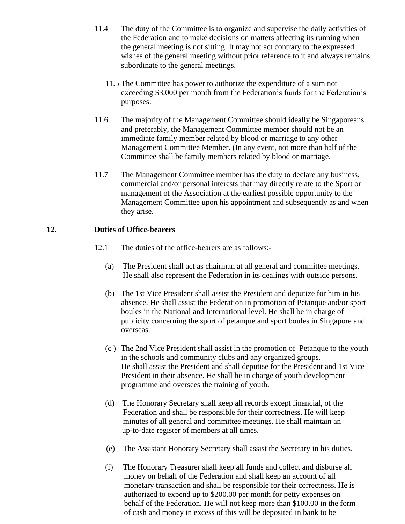- 11.4 The duty of the Committee is to organize and supervise the daily activities of the Federation and to make decisions on matters affecting its running when the general meeting is not sitting. It may not act contrary to the expressed wishes of the general meeting without prior reference to it and always remains subordinate to the general meetings.
	- 11.5 The Committee has power to authorize the expenditure of a sum not exceeding \$3,000 per month from the Federation's funds for the Federation's purposes.
- 11.6 The majority of the Management Committee should ideally be Singaporeans and preferably, the Management Committee member should not be an immediate family member related by blood or marriage to any other Management Committee Member. (In any event, not more than half of the Committee shall be family members related by blood or marriage.
- 11.7 The Management Committee member has the duty to declare any business, commercial and/or personal interests that may directly relate to the Sport or management of the Association at the earliest possible opportunity to the Management Committee upon his appointment and subsequently as and when they arise.

#### **12. Duties of Office-bearers**

- 12.1 The duties of the office-bearers are as follows:-
	- (a) The President shall act as chairman at all general and committee meetings. He shall also represent the Federation in its dealings with outside persons.
	- (b) The 1st Vice President shall assist the President and deputize for him in his absence. He shall assist the Federation in promotion of Petanque and/or sport boules in the National and International level. He shall be in charge of publicity concerning the sport of petanque and sport boules in Singapore and overseas.
	- (c ) The 2nd Vice President shall assist in the promotion of Petanque to the youth in the schools and community clubs and any organized groups. He shall assist the President and shall deputise for the President and 1st Vice President in their absence. He shall be in charge of youth development programme and oversees the training of youth.
	- (d) The Honorary Secretary shall keep all records except financial, of the Federation and shall be responsible for their correctness. He will keep minutes of all general and committee meetings. He shall maintain an up-to-date register of members at all times.
	- (e) The Assistant Honorary Secretary shall assist the Secretary in his duties.
	- (f) The Honorary Treasurer shall keep all funds and collect and disburse all money on behalf of the Federation and shall keep an account of all monetary transaction and shall be responsible for their correctness. He is authorized to expend up to \$200.00 per month for petty expenses on behalf of the Federation. He will not keep more than \$100.00 in the form of cash and money in excess of this will be deposited in bank to be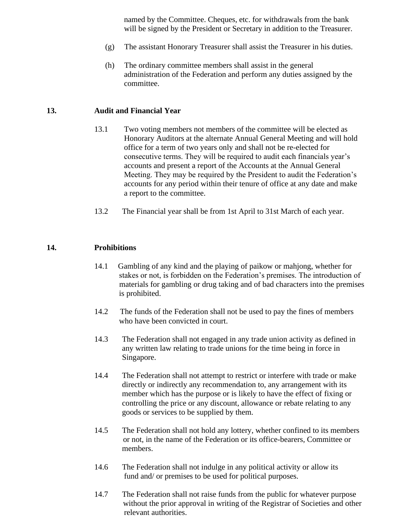named by the Committee. Cheques, etc. for withdrawals from the bank will be signed by the President or Secretary in addition to the Treasurer.

- (g) The assistant Honorary Treasurer shall assist the Treasurer in his duties.
- (h) The ordinary committee members shall assist in the general administration of the Federation and perform any duties assigned by the committee.

#### **13. Audit and Financial Year**

- 13.1 Two voting members not members of the committee will be elected as Honorary Auditors at the alternate Annual General Meeting and will hold office for a term of two years only and shall not be re-elected for consecutive terms. They will be required to audit each financials year's accounts and present a report of the Accounts at the Annual General Meeting. They may be required by the President to audit the Federation's accounts for any period within their tenure of office at any date and make a report to the committee.
- 13.2 The Financial year shall be from 1st April to 31st March of each year.

#### **14. Prohibitions**

- 14.1 Gambling of any kind and the playing of paikow or mahjong, whether for stakes or not, is forbidden on the Federation's premises. The introduction of materials for gambling or drug taking and of bad characters into the premises is prohibited.
- 14.2 The funds of the Federation shall not be used to pay the fines of members who have been convicted in court.
- 14.3 The Federation shall not engaged in any trade union activity as defined in any written law relating to trade unions for the time being in force in Singapore.
- 14.4 The Federation shall not attempt to restrict or interfere with trade or make directly or indirectly any recommendation to, any arrangement with its member which has the purpose or is likely to have the effect of fixing or controlling the price or any discount, allowance or rebate relating to any goods or services to be supplied by them.
- 14.5 The Federation shall not hold any lottery, whether confined to its members or not, in the name of the Federation or its office-bearers, Committee or members.
- 14.6 The Federation shall not indulge in any political activity or allow its fund and/ or premises to be used for political purposes.
- 14.7 The Federation shall not raise funds from the public for whatever purpose without the prior approval in writing of the Registrar of Societies and other relevant authorities.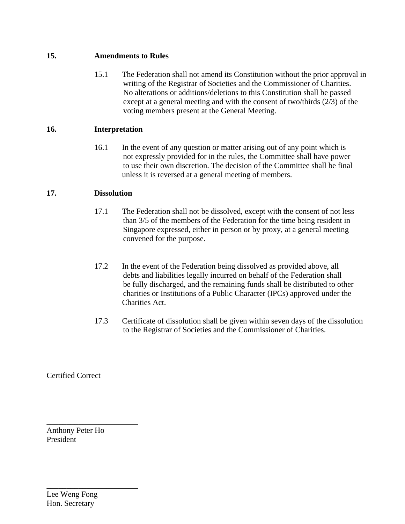#### **15. Amendments to Rules**

15.1 The Federation shall not amend its Constitution without the prior approval in writing of the Registrar of Societies and the Commissioner of Charities. No alterations or additions/deletions to this Constitution shall be passed except at a general meeting and with the consent of two/thirds (2/3) of the voting members present at the General Meeting.

#### **16. Interpretation**

16.1 In the event of any question or matter arising out of any point which is not expressly provided for in the rules, the Committee shall have power to use their own discretion. The decision of the Committee shall be final unless it is reversed at a general meeting of members.

#### **17. Dissolution**

- 17.1 The Federation shall not be dissolved, except with the consent of not less than 3/5 of the members of the Federation for the time being resident in Singapore expressed, either in person or by proxy, at a general meeting convened for the purpose.
- 17.2 In the event of the Federation being dissolved as provided above, all debts and liabilities legally incurred on behalf of the Federation shall be fully discharged, and the remaining funds shall be distributed to other charities or Institutions of a Public Character (IPCs) approved under the Charities Act.
- 17.3 Certificate of dissolution shall be given within seven days of the dissolution to the Registrar of Societies and the Commissioner of Charities.

Certified Correct

Anthony Peter Ho President

\_\_\_\_\_\_\_\_\_\_\_\_\_\_\_\_\_\_\_\_\_\_\_

\_\_\_\_\_\_\_\_\_\_\_\_\_\_\_\_\_\_\_\_\_\_\_